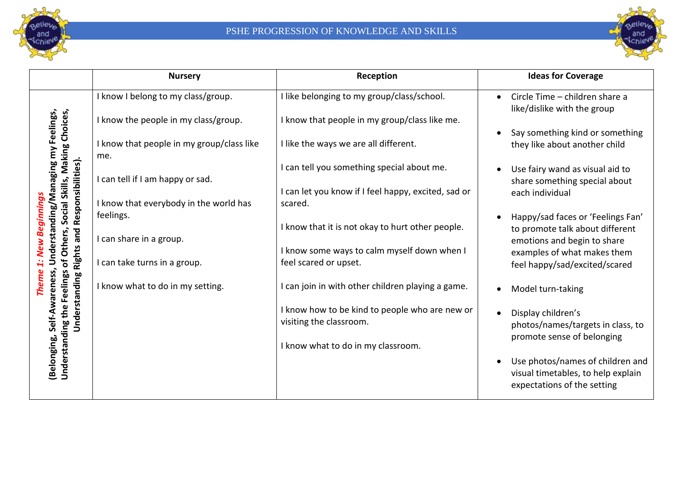



|                                                                                                    | <b>Nursery</b>                                   | Reception                                                                 | <b>Ideas for Coverage</b>                                                                             |
|----------------------------------------------------------------------------------------------------|--------------------------------------------------|---------------------------------------------------------------------------|-------------------------------------------------------------------------------------------------------|
| Social Skills, Making Choices,<br>Inderstanding/Managing my Feelings,                              | I know I belong to my class/group.               | I like belonging to my group/class/school.                                | Circle Time - children share a<br>$\bullet$<br>like/dislike with the group                            |
|                                                                                                    | I know the people in my class/group.             | I know that people in my group/class like me.                             |                                                                                                       |
|                                                                                                    | I know that people in my group/class like<br>me. | I like the ways we are all different.                                     | Say something kind or something<br>they like about another child                                      |
|                                                                                                    |                                                  | I can tell you something special about me.                                | Use fairy wand as visual aid to                                                                       |
|                                                                                                    | I can tell if I am happy or sad.                 |                                                                           | share something special about                                                                         |
|                                                                                                    | I know that everybody in the world has           | I can let you know if I feel happy, excited, sad or<br>scared.            | each individual                                                                                       |
| Responsibilities).<br>inning<br>pue                                                                | feelings.                                        |                                                                           | Happy/sad faces or 'Feelings Fan'                                                                     |
|                                                                                                    |                                                  | I know that it is not okay to hurt other people.                          | to promote talk about different                                                                       |
| g                                                                                                  | I can share in a group.                          | I know some ways to calm myself down when I                               | emotions and begin to share<br>examples of what makes them                                            |
| of Others,<br><b>Rights</b><br>Understanding the Feelings<br>Self-Awareness<br>Understanding<br>em | I can take turns in a group.                     | feel scared or upset.                                                     | feel happy/sad/excited/scared                                                                         |
|                                                                                                    | I know what to do in my setting.                 | I can join in with other children playing a game.                         | Model turn-taking                                                                                     |
|                                                                                                    |                                                  | I know how to be kind to people who are new or<br>visiting the classroom. | Display children's                                                                                    |
|                                                                                                    |                                                  |                                                                           | photos/names/targets in class, to<br>promote sense of belonging                                       |
|                                                                                                    |                                                  | I know what to do in my classroom.                                        |                                                                                                       |
| (Belonging,                                                                                        |                                                  |                                                                           | Use photos/names of children and<br>visual timetables, to help explain<br>expectations of the setting |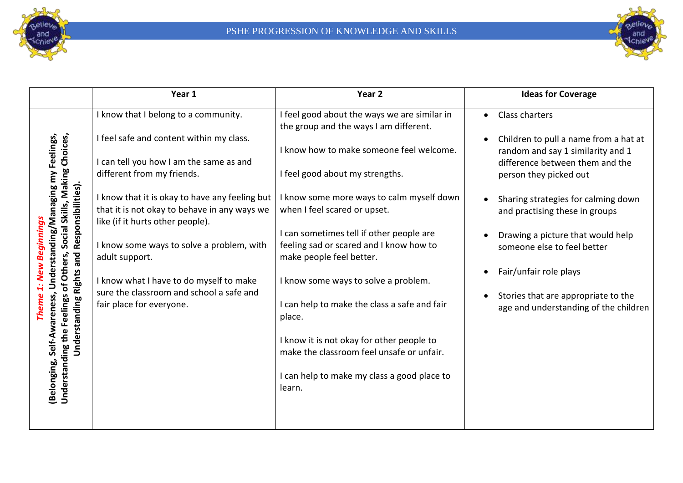



|                                                                                                                            | Year 1                                                                                                                             | Year <sub>2</sub>                                                                                                                                                                                                                                 | <b>Ideas for Coverage</b>                                                                                                               |
|----------------------------------------------------------------------------------------------------------------------------|------------------------------------------------------------------------------------------------------------------------------------|---------------------------------------------------------------------------------------------------------------------------------------------------------------------------------------------------------------------------------------------------|-----------------------------------------------------------------------------------------------------------------------------------------|
|                                                                                                                            | I know that I belong to a community.                                                                                               | I feel good about the ways we are similar in<br>the group and the ways I am different.                                                                                                                                                            | <b>Class charters</b><br>$\bullet$                                                                                                      |
| Social Skills, Making Choices,<br>Feelings,                                                                                | I feel safe and content within my class.<br>I can tell you how I am the same as and<br>different from my friends.                  | I know how to make someone feel welcome.<br>I feel good about my strengths.                                                                                                                                                                       | Children to pull a name from a hat at<br>random and say 1 similarity and 1<br>difference between them and the<br>person they picked out |
| Understanding/Managing my<br>Responsibilities).                                                                            | I know that it is okay to have any feeling but<br>that it is not okay to behave in any ways we<br>like (if it hurts other people). | I know some more ways to calm myself down<br>when I feel scared or upset.                                                                                                                                                                         | Sharing strategies for calming down<br>and practising these in groups                                                                   |
| Beginnings<br>and                                                                                                          | I know some ways to solve a problem, with<br>adult support.                                                                        | I can sometimes tell if other people are<br>feeling sad or scared and I know how to<br>make people feel better.                                                                                                                                   | Drawing a picture that would help<br>someone else to feel better                                                                        |
| of Others,<br><b>New</b><br><b>Rights</b><br>Self-Awareness,<br>Understanding the Feelings<br>Understanding<br>(Belonging, | I know what I have to do myself to make<br>sure the classroom and school a safe and<br>fair place for everyone.                    | I know some ways to solve a problem.<br>I can help to make the class a safe and fair<br>place.<br>I know it is not okay for other people to<br>make the classroom feel unsafe or unfair.<br>I can help to make my class a good place to<br>learn. | Fair/unfair role plays<br>$\bullet$<br>Stories that are appropriate to the<br>age and understanding of the children                     |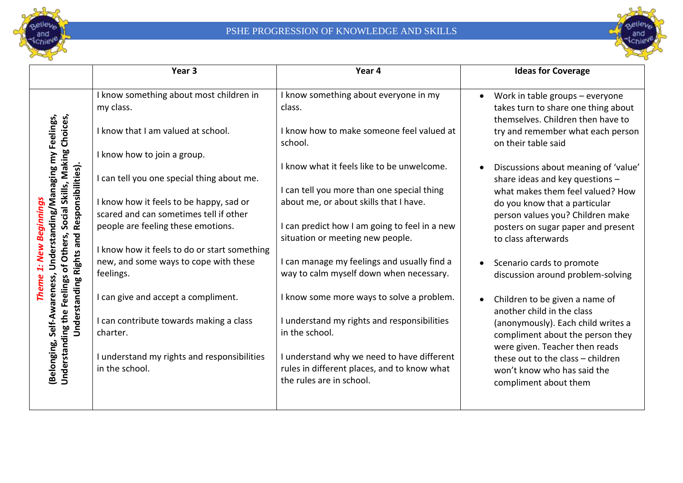



|                                                                       | Year <sub>3</sub>                                                                 | Year 4                                                                                                                | <b>Ideas for Coverage</b>                                                                                                   |
|-----------------------------------------------------------------------|-----------------------------------------------------------------------------------|-----------------------------------------------------------------------------------------------------------------------|-----------------------------------------------------------------------------------------------------------------------------|
|                                                                       | I know something about most children in<br>my class.                              | I know something about everyone in my<br>class.                                                                       | Work in table groups - everyone<br>takes turn to share one thing about<br>themselves. Children then have to                 |
| Social Skills, Making Choices,<br>Understanding/Managing my Feelings, | I know that I am valued at school.                                                | I know how to make someone feel valued at<br>school.                                                                  | try and remember what each person<br>on their table said                                                                    |
|                                                                       | I know how to join a group.                                                       | I know what it feels like to be unwelcome.                                                                            | Discussions about meaning of 'value'                                                                                        |
|                                                                       | can tell you one special thing about me.                                          | I can tell you more than one special thing                                                                            | share ideas and key questions -<br>what makes them feel valued? How                                                         |
| ginning                                                               | I know how it feels to be happy, sad or<br>scared and can sometimes tell if other | about me, or about skills that I have.                                                                                | do you know that a particular<br>person values you? Children make                                                           |
| and Responsibilities)                                                 | people are feeling these emotions.                                                | I can predict how I am going to feel in a new<br>situation or meeting new people.                                     | posters on sugar paper and present<br>to class afterwards                                                                   |
| of Others,                                                            | I know how it feels to do or start something                                      |                                                                                                                       |                                                                                                                             |
| <b>Understanding Rights</b>                                           | new, and some ways to cope with these<br>feelings.                                | I can manage my feelings and usually find a<br>way to calm myself down when necessary.                                | Scenario cards to promote<br>discussion around problem-solving                                                              |
|                                                                       | I can give and accept a compliment.                                               | I know some more ways to solve a problem.                                                                             | Children to be given a name of<br>another child in the class                                                                |
|                                                                       | I can contribute towards making a class<br>charter.                               | I understand my rights and responsibilities<br>in the school.                                                         | (anonymously). Each child writes a<br>compliment about the person they                                                      |
| Understanding the Feelings<br>Belonging, Self-Awareness,              | I understand my rights and responsibilities<br>in the school.                     | I understand why we need to have different<br>rules in different places, and to know what<br>the rules are in school. | were given. Teacher then reads<br>these out to the class - children<br>won't know who has said the<br>compliment about them |
|                                                                       |                                                                                   |                                                                                                                       |                                                                                                                             |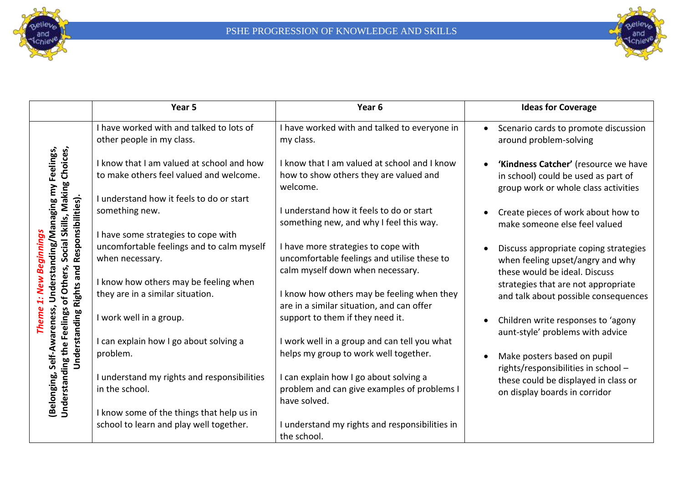



|                                                                                             | Year 5                                                                                                                           | Year <sub>6</sub>                                                                                                      | <b>Ideas for Coverage</b>                                                                                                        |
|---------------------------------------------------------------------------------------------|----------------------------------------------------------------------------------------------------------------------------------|------------------------------------------------------------------------------------------------------------------------|----------------------------------------------------------------------------------------------------------------------------------|
|                                                                                             | I have worked with and talked to lots of<br>other people in my class.                                                            | I have worked with and talked to everyone in<br>my class.                                                              | Scenario cards to promote discussion<br>$\bullet$<br>around problem-solving                                                      |
| Feelings,<br>Social Skills, Making Choices,<br>$\widetilde{\epsilon}$<br>Responsibilities). | I know that I am valued at school and how<br>to make others feel valued and welcome.<br>I understand how it feels to do or start | I know that I am valued at school and I know<br>how to show others they are valued and<br>welcome.                     | 'Kindness Catcher' (resource we have<br>$\bullet$<br>in school) could be used as part of<br>group work or whole class activities |
|                                                                                             | something new.<br>I have some strategies to cope with                                                                            | I understand how it feels to do or start<br>something new, and why I feel this way.                                    | Create pieces of work about how to<br>make someone else feel valued                                                              |
| Understanding/Managing<br>eginnings<br>and                                                  | uncomfortable feelings and to calm myself<br>when necessary.                                                                     | I have more strategies to cope with<br>uncomfortable feelings and utilise these to<br>calm myself down when necessary. | Discuss appropriate coping strategies<br>$\bullet$<br>when feeling upset/angry and why<br>these would be ideal. Discuss          |
| of Others,<br>New<br>Rights                                                                 | I know how others may be feeling when<br>they are in a similar situation.                                                        | I know how others may be feeling when they<br>are in a similar situation, and can offer                                | strategies that are not appropriate<br>and talk about possible consequences                                                      |
| wareness,                                                                                   | I work well in a group.                                                                                                          | support to them if they need it.                                                                                       | Children write responses to 'agony<br>$\bullet$<br>aunt-style' problems with advice                                              |
| Understanding<br>Self-                                                                      | I can explain how I go about solving a<br>problem.                                                                               | I work well in a group and can tell you what<br>helps my group to work well together.                                  | Make posters based on pupil<br>$\bullet$<br>rights/responsibilities in school -                                                  |
| Understanding the Feelings<br>(Belonging,                                                   | I understand my rights and responsibilities<br>in the school.                                                                    | can explain how I go about solving a<br>problem and can give examples of problems I<br>have solved.                    | these could be displayed in class or<br>on display boards in corridor                                                            |
|                                                                                             | I know some of the things that help us in<br>school to learn and play well together.                                             | I understand my rights and responsibilities in<br>the school.                                                          |                                                                                                                                  |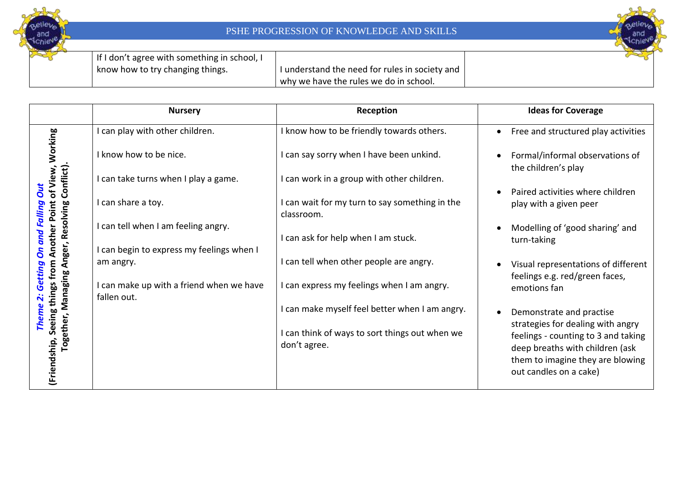



| If I don't agree with something in school, I |              |
|----------------------------------------------|--------------|
| know how to try changing things.             | I understand |
|                                              | why we have  |

the need for rules in society and e the rules we do in school.

|                                                                                                                     | <b>Nursery</b>                                                                   | Reception                                                    | <b>Ideas for Coverage</b>                                                                     |
|---------------------------------------------------------------------------------------------------------------------|----------------------------------------------------------------------------------|--------------------------------------------------------------|-----------------------------------------------------------------------------------------------|
|                                                                                                                     | I can play with other children.                                                  | I know how to be friendly towards others.                    | Free and structured play activities<br>$\bullet$                                              |
|                                                                                                                     | I know how to be nice.                                                           | I can say sorry when I have been unkind.                     | Formal/informal observations of<br>the children's play                                        |
|                                                                                                                     | I can take turns when I play a game.                                             | I can work in a group with other children.                   |                                                                                               |
| hip, Seeing things from Another Point of View, Working<br>Together, Managing Anger, Resolving Conflict).<br>Falling | I can share a toy.                                                               | I can wait for my turn to say something in the<br>classroom. | Paired activities where children<br>play with a given peer                                    |
|                                                                                                                     | I can tell when I am feeling angry.<br>I can begin to express my feelings when I | I can ask for help when I am stuck.                          | Modelling of 'good sharing' and<br>turn-taking                                                |
| <b><i><u>Getting</u></i></b>                                                                                        | am angry.                                                                        | I can tell when other people are angry.                      | Visual representations of different<br>feelings e.g. red/green faces,                         |
|                                                                                                                     | I can make up with a friend when we have<br>fallen out.                          | I can express my feelings when I am angry.                   | emotions fan                                                                                  |
|                                                                                                                     |                                                                                  | I can make myself feel better when I am angry.               | Demonstrate and practise                                                                      |
|                                                                                                                     |                                                                                  | I can think of ways to sort things out when we               | strategies for dealing with angry<br>feelings - counting to 3 and taking                      |
| (Friendship,                                                                                                        |                                                                                  | don't agree.                                                 | deep breaths with children (ask<br>them to imagine they are blowing<br>out candles on a cake) |
|                                                                                                                     |                                                                                  |                                                              |                                                                                               |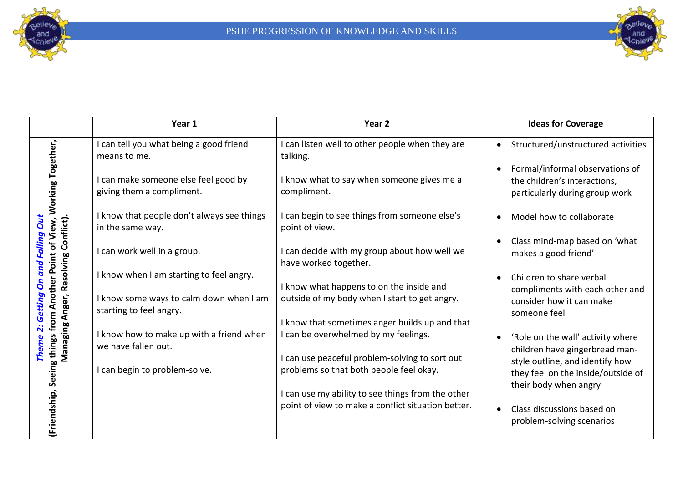



| <b>Ideas for Coverage</b>                                                                         |
|---------------------------------------------------------------------------------------------------|
| Structured/unstructured activities                                                                |
| Formal/informal observations of<br>the children's interactions,<br>particularly during group work |
| Model how to collaborate                                                                          |
| Class mind-map based on 'what<br>makes a good friend'                                             |
| Children to share verbal<br>compliments with each other and                                       |
| consider how it can make                                                                          |
| 'Role on the wall' activity where                                                                 |
| children have gingerbread man-<br>style outline, and identify how                                 |
| they feel on the inside/outside of<br>their body when angry                                       |
|                                                                                                   |
| Class discussions based on<br>problem-solving scenarios                                           |
|                                                                                                   |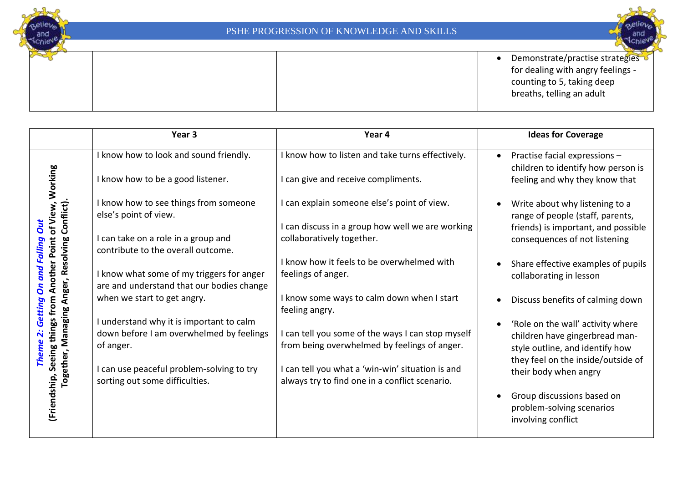and

Chie



• Demonstrate/practise strategies for dealing with angry feelings counting to 5, taking deep breaths, telling an adult

| Year 4 | <b>Ideas for Coverage</b>                                                                                                                                                                                                                                                                                                                                                                                                                                                                                                                                              |
|--------|------------------------------------------------------------------------------------------------------------------------------------------------------------------------------------------------------------------------------------------------------------------------------------------------------------------------------------------------------------------------------------------------------------------------------------------------------------------------------------------------------------------------------------------------------------------------|
|        | Practise facial expressions -<br>$\bullet$<br>children to identify how person is                                                                                                                                                                                                                                                                                                                                                                                                                                                                                       |
|        | feeling and why they know that                                                                                                                                                                                                                                                                                                                                                                                                                                                                                                                                         |
|        | Write about why listening to a<br>range of people (staff, parents,                                                                                                                                                                                                                                                                                                                                                                                                                                                                                                     |
|        | friends) is important, and possible<br>consequences of not listening                                                                                                                                                                                                                                                                                                                                                                                                                                                                                                   |
|        | Share effective examples of pupils<br>collaborating in lesson                                                                                                                                                                                                                                                                                                                                                                                                                                                                                                          |
|        | Discuss benefits of calming down                                                                                                                                                                                                                                                                                                                                                                                                                                                                                                                                       |
|        | 'Role on the wall' activity where<br>children have gingerbread man-<br>style outline, and identify how<br>they feel on the inside/outside of                                                                                                                                                                                                                                                                                                                                                                                                                           |
|        | their body when angry                                                                                                                                                                                                                                                                                                                                                                                                                                                                                                                                                  |
|        | Group discussions based on<br>problem-solving scenarios<br>involving conflict                                                                                                                                                                                                                                                                                                                                                                                                                                                                                          |
|        | I know how to listen and take turns effectively.<br>I can give and receive compliments.<br>I can explain someone else's point of view.<br>I can discuss in a group how well we are working<br>collaboratively together.<br>I know how it feels to be overwhelmed with<br>feelings of anger.<br>I know some ways to calm down when I start<br>feeling angry.<br>I can tell you some of the ways I can stop myself<br>from being overwhelmed by feelings of anger.<br>I can tell you what a 'win-win' situation is and<br>always try to find one in a conflict scenario. |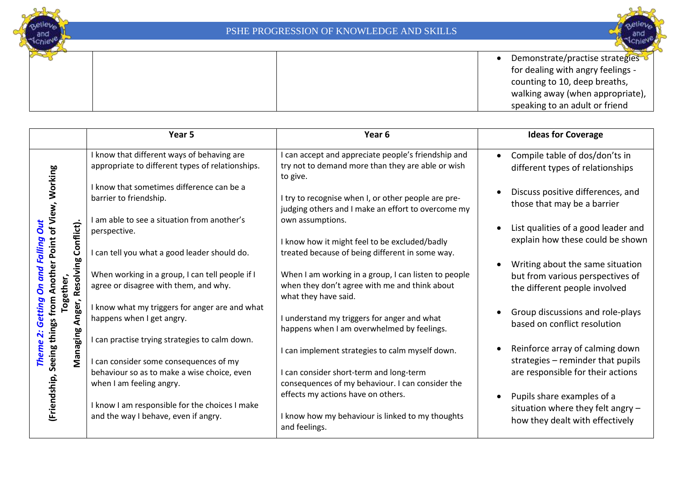

• Demonstrate/practise strategies for dealing with angry feelings counting to 10, deep breaths, walking away (when appropriate), speaking to an adult or friend

|                                                       | Year <sub>5</sub>                                                                                                             | Year <sub>6</sub>                                                                                                                                                                | <b>Ideas for Coverage</b>                                                                                              |
|-------------------------------------------------------|-------------------------------------------------------------------------------------------------------------------------------|----------------------------------------------------------------------------------------------------------------------------------------------------------------------------------|------------------------------------------------------------------------------------------------------------------------|
| of View, Working                                      | I know that different ways of behaving are<br>appropriate to different types of relationships.                                | I can accept and appreciate people's friendship and<br>try not to demand more than they are able or wish<br>to give.                                                             | Compile table of dos/don'ts in<br>$\bullet$<br>different types of relationships                                        |
|                                                       | I know that sometimes difference can be a<br>barrier to friendship.                                                           | I try to recognise when I, or other people are pre-<br>judging others and I make an effort to overcome my                                                                        | Discuss positive differences, and<br>those that may be a barrier                                                       |
| Ju<br>Falling                                         | I am able to see a situation from another's<br>perspective.<br>I can tell you what a good leader should do.                   | own assumptions.<br>I know how it might feel to be excluded/badly                                                                                                                | List qualities of a good leader and<br>explain how these could be shown                                                |
| Resolving Conflict).<br>nother Point<br>pup<br>ether, | When working in a group, I can tell people if I<br>agree or disagree with them, and why.                                      | treated because of being different in some way.<br>When I am working in a group, I can listen to people<br>when they don't agree with me and think about<br>what they have said. | Writing about the same situation<br>$\bullet$<br>but from various perspectives of<br>the different people involved     |
| Seeing things from<br><b>bo</b><br>Anger,<br>õ<br>ច   | I know what my triggers for anger are and what<br>happens when I get angry.<br>I can practise trying strategies to calm down. | I understand my triggers for anger and what<br>happens when I am overwhelmed by feelings.                                                                                        | Group discussions and role-plays<br>$\bullet$<br>based on conflict resolution                                          |
| Managing<br><b>Them</b>                               | I can consider some consequences of my<br>behaviour so as to make a wise choice, even<br>when I am feeling angry.             | I can implement strategies to calm myself down.<br>I can consider short-term and long-term<br>consequences of my behaviour. I can consider the                                   | Reinforce array of calming down<br>$\bullet$<br>strategies - reminder that pupils<br>are responsible for their actions |
| (Friendship,                                          | I know I am responsible for the choices I make<br>and the way I behave, even if angry.                                        | effects my actions have on others.<br>I know how my behaviour is linked to my thoughts<br>and feelings.                                                                          | Pupils share examples of a<br>$\bullet$<br>situation where they felt angry -<br>how they dealt with effectively        |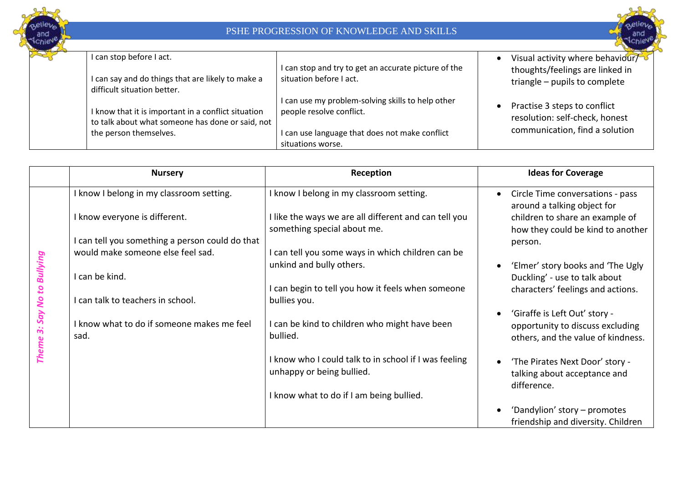



| I can stop before I act.<br>I can say and do things that are likely to make a<br>difficult situation better. | I can stop and try to get an accurate picture of the<br>situation before I act. | Visual activity where behaviour/<br>thoughts/feelings are linked in<br>triangle - pupils to complete |
|--------------------------------------------------------------------------------------------------------------|---------------------------------------------------------------------------------|------------------------------------------------------------------------------------------------------|
| I know that it is important in a conflict situation<br>to talk about what someone has done or said, not      | I can use my problem-solving skills to help other<br>people resolve conflict.   | Practise 3 steps to conflict<br>resolution: self-check, honest                                       |
| the person themselves.                                                                                       | I can use language that does not make conflict                                  | communication, find a solution                                                                       |
|                                                                                                              | situations worse.                                                               |                                                                                                      |

|                           | <b>Nursery</b>                                                            | Reception                                                                                                                        | <b>Ideas for Coverage</b>                                                                                                                            |
|---------------------------|---------------------------------------------------------------------------|----------------------------------------------------------------------------------------------------------------------------------|------------------------------------------------------------------------------------------------------------------------------------------------------|
|                           | I know I belong in my classroom setting.<br>I know everyone is different. | I know I belong in my classroom setting.<br>I like the ways we are all different and can tell you<br>something special about me. | Circle Time conversations - pass<br>$\bullet$<br>around a talking object for<br>children to share an example of<br>how they could be kind to another |
|                           | I can tell you something a person could do that                           |                                                                                                                                  | person.                                                                                                                                              |
|                           | would make someone else feel sad.                                         | I can tell you some ways in which children can be<br>unkind and bully others.                                                    | 'Elmer' story books and 'The Ugly                                                                                                                    |
| Bullying                  | I can be kind.                                                            |                                                                                                                                  | Duckling' - use to talk about                                                                                                                        |
| Say No to<br><b>Theme</b> | I can talk to teachers in school.                                         | I can begin to tell you how it feels when someone<br>bullies you.                                                                | characters' feelings and actions.                                                                                                                    |
|                           | I know what to do if someone makes me feel<br>sad.                        | I can be kind to children who might have been<br>bullied.                                                                        | 'Giraffe is Left Out' story -<br>opportunity to discuss excluding<br>others, and the value of kindness.                                              |
|                           |                                                                           | I know who I could talk to in school if I was feeling<br>unhappy or being bullied.                                               | 'The Pirates Next Door' story -<br>talking about acceptance and<br>difference.                                                                       |
|                           |                                                                           | I know what to do if I am being bullied.                                                                                         |                                                                                                                                                      |
|                           |                                                                           |                                                                                                                                  | 'Dandylion' story - promotes<br>friendship and diversity. Children                                                                                   |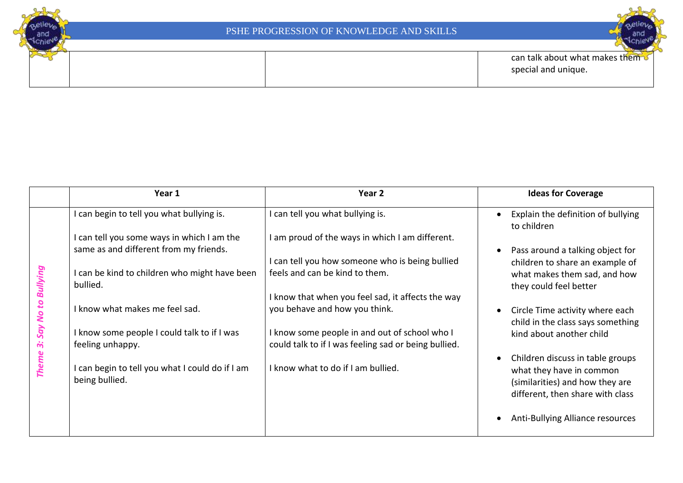



|                                          | Year 1                                                            | Year 2                                                                                                | <b>Ideas for Coverage</b>                                                                                                           |
|------------------------------------------|-------------------------------------------------------------------|-------------------------------------------------------------------------------------------------------|-------------------------------------------------------------------------------------------------------------------------------------|
|                                          | I can begin to tell you what bullying is.                         | I can tell you what bullying is.                                                                      | Explain the definition of bullying<br>to children                                                                                   |
|                                          | can tell you some ways in which I am the                          | I am proud of the ways in which I am different.                                                       |                                                                                                                                     |
|                                          | same as and different from my friends.                            |                                                                                                       | Pass around a talking object for                                                                                                    |
|                                          |                                                                   | I can tell you how someone who is being bullied                                                       | children to share an example of                                                                                                     |
|                                          | I can be kind to children who might have been<br>bullied.         | feels and can be kind to them.                                                                        | what makes them sad, and how<br>they could feel better                                                                              |
| Say No to Bullying<br>က်<br><b>Theme</b> |                                                                   | I know that when you feel sad, it affects the way                                                     |                                                                                                                                     |
|                                          | I know what makes me feel sad.                                    | you behave and how you think.                                                                         | Circle Time activity where each                                                                                                     |
|                                          | I know some people I could talk to if I was<br>feeling unhappy.   | I know some people in and out of school who I<br>could talk to if I was feeling sad or being bullied. | child in the class says something<br>kind about another child                                                                       |
|                                          | I can begin to tell you what I could do if I am<br>being bullied. | I know what to do if I am bullied.                                                                    | Children discuss in table groups<br>what they have in common<br>(similarities) and how they are<br>different, then share with class |
|                                          |                                                                   |                                                                                                       | Anti-Bullying Alliance resources                                                                                                    |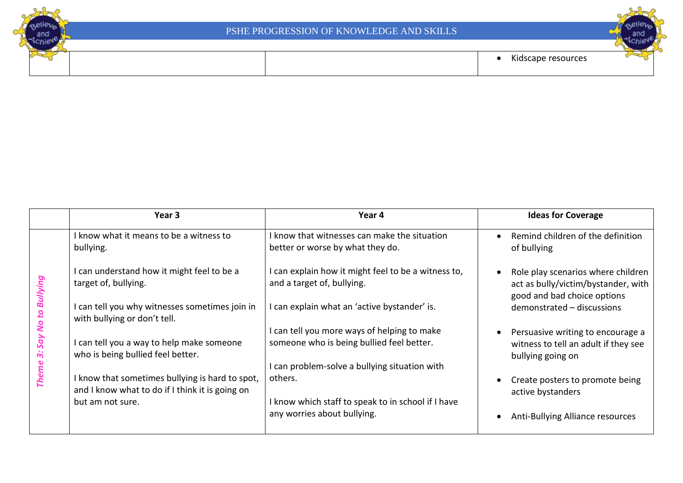





|                          | Year 3                                                                                                                                             | Year 4                                                                                                                                | <b>Ideas for Coverage</b>                                                                                                              |
|--------------------------|----------------------------------------------------------------------------------------------------------------------------------------------------|---------------------------------------------------------------------------------------------------------------------------------------|----------------------------------------------------------------------------------------------------------------------------------------|
|                          | I know what it means to be a witness to<br>bullying.                                                                                               | I know that witnesses can make the situation<br>better or worse by what they do.                                                      | Remind children of the definition<br>of bullying                                                                                       |
| Bullying<br>$\mathbf{a}$ | can understand how it might feel to be a<br>target of, bullying.<br>I can tell you why witnesses sometimes join in<br>with bullying or don't tell. | can explain how it might feel to be a witness to,<br>and a target of, bullying.<br>can explain what an 'active bystander' is.         | Role play scenarios where children<br>act as bully/victim/bystander, with<br>good and bad choice options<br>demonstrated - discussions |
| <b>SV</b><br>Say         | I can tell you a way to help make someone<br>who is being bullied feel better.                                                                     | can tell you more ways of helping to make<br>someone who is being bullied feel better.<br>can problem-solve a bullying situation with | Persuasive writing to encourage a<br>witness to tell an adult if they see<br>bullying going on                                         |
| <b>Theme</b>             | I know that sometimes bullying is hard to spot,<br>and I know what to do if I think it is going on<br>but am not sure.                             | others.<br>I know which staff to speak to in school if I have<br>any worries about bullying.                                          | Create posters to promote being<br>active bystanders<br>Anti-Bullying Alliance resources                                               |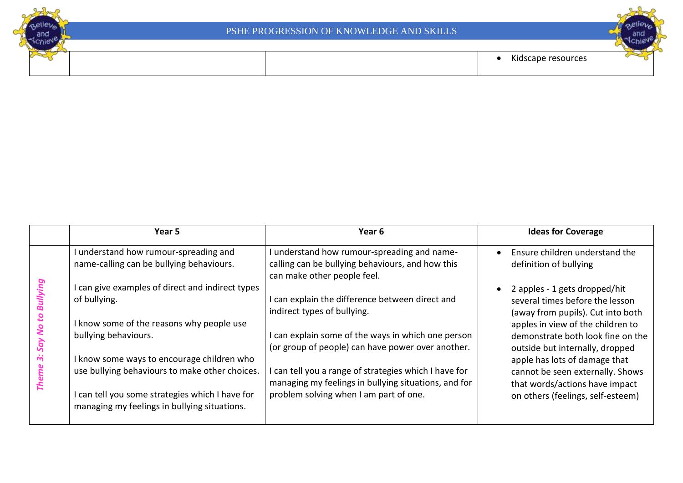





|         | Year 5                                                                                          | Year <sub>6</sub>                                                                                                            | <b>Ideas for Coverage</b>                                                                                 |
|---------|-------------------------------------------------------------------------------------------------|------------------------------------------------------------------------------------------------------------------------------|-----------------------------------------------------------------------------------------------------------|
|         | I understand how rumour-spreading and<br>name-calling can be bullying behaviours.               | understand how rumour-spreading and name-<br>calling can be bullying behaviours, and how this<br>can make other people feel. | Ensure children understand the<br>definition of bullying                                                  |
| ullying | I can give examples of direct and indirect types<br>of bullying.                                | can explain the difference between direct and<br>indirect types of bullying.                                                 | 2 apples - 1 gets dropped/hit<br>several times before the lesson<br>(away from pupils). Cut into both     |
|         | I know some of the reasons why people use<br>bullying behaviours.                               | can explain some of the ways in which one person<br>(or group of people) can have power over another.                        | apples in view of the children to<br>demonstrate both look fine on the<br>outside but internally, dropped |
|         | I know some ways to encourage children who<br>use bullying behaviours to make other choices.    | can tell you a range of strategies which I have for<br>managing my feelings in bullying situations, and for                  | apple has lots of damage that<br>cannot be seen externally. Shows<br>that words/actions have impact       |
|         | I can tell you some strategies which I have for<br>managing my feelings in bullying situations. | problem solving when I am part of one.                                                                                       | on others (feelings, self-esteem)                                                                         |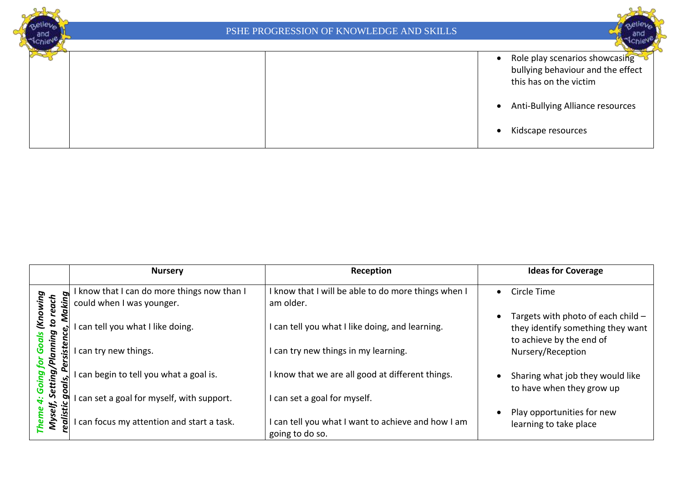

|                                      | <b>Nursery</b>                                                         | Reception                                                             | <b>Ideas for Coverage</b>                                                                           |
|--------------------------------------|------------------------------------------------------------------------|-----------------------------------------------------------------------|-----------------------------------------------------------------------------------------------------|
| king                                 | know that I can do more things now than I<br>could when I was younger. | I know that I will be able to do more things when I<br>am older.      | Circle Time<br>$\bullet$                                                                            |
| to reach<br>(Know<br>Na<br>ဇ<br>ping | can tell you what I like doing.                                        | I can tell you what I like doing, and learning.                       | Targets with photo of each child -<br>they identify something they want<br>to achieve by the end of |
| <b>siste</b><br>nan                  | can try new things.                                                    | I can try new things in my learning.                                  | Nursery/Reception                                                                                   |
| Setting/<br><u>يا</u><br>ρo          | can begin to tell you what a goal is.                                  | I know that we are all good at different things.                      | Sharing what job they would like<br>to have when they grow up                                       |
|                                      | can set a goal for myself, with support.                               | I can set a goal for myself.                                          |                                                                                                     |
| ealistic<br>Myself,                  | can focus my attention and start a task.                               | I can tell you what I want to achieve and how I am<br>going to do so. | Play opportunities for new<br>learning to take place                                                |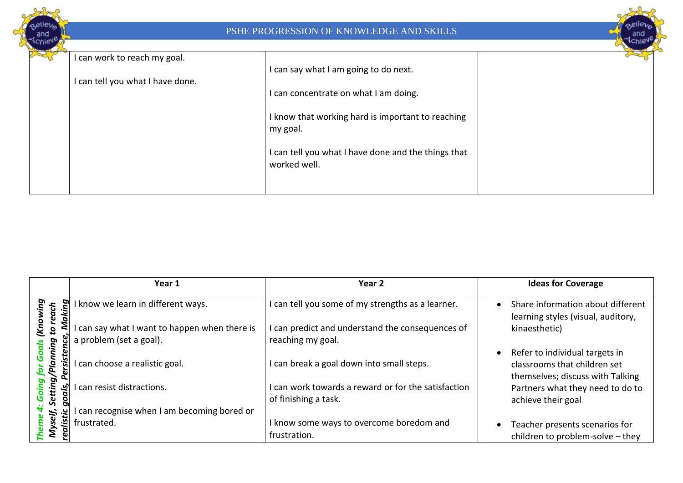

|                                               | Year 1                                                                   | Year 2                                                                | <b>Ideas for Coverage</b>                                                                          |
|-----------------------------------------------|--------------------------------------------------------------------------|-----------------------------------------------------------------------|----------------------------------------------------------------------------------------------------|
| ā,<br>£                                       | I know we learn in different ways.                                       | I can tell you some of my strengths as a learner.                     | Share information about different<br>learning styles (visual, auditory,                            |
| $\tilde{\mathbf{x}}$<br>$\overline{a}$<br>ing | I can say what I want to happen when there is<br>a problem (set a goal). | I can predict and understand the consequences of<br>reaching my goal. | kinaesthetic)                                                                                      |
| Plann.                                        | can choose a realistic goal.                                             | I can break a goal down into small steps.                             | Refer to individual targets in<br>classrooms that children set<br>themselves; discuss with Talking |
| tting/<br>'ন                                  | can resist distractions.                                                 | I can work towards a reward or for the satisfaction                   | Partners what they need to do to                                                                   |
| ಀ                                             | can recognise when I am becoming bored or                                | of finishing a task.                                                  | achieve their goal                                                                                 |
|                                               | frustrated.                                                              | I know some ways to overcome boredom and                              | Teacher presents scenarios for                                                                     |
|                                               |                                                                          | frustration.                                                          | children to problem-solve - they                                                                   |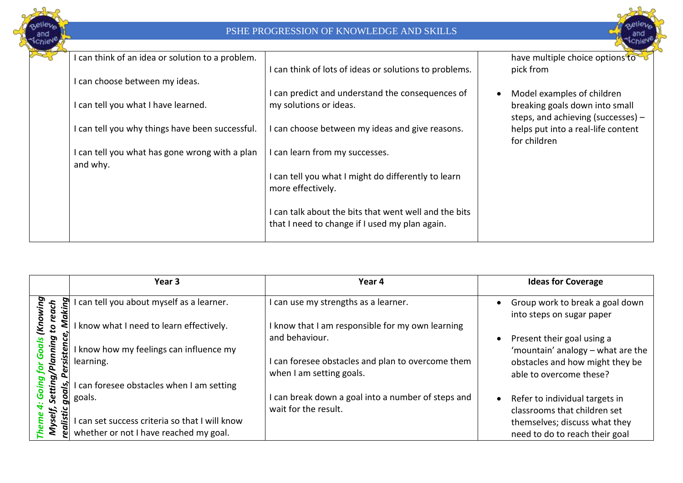



| I can think of an idea or solution to a problem.           |                                                                                                         | have multiple choice options to                                                                    |
|------------------------------------------------------------|---------------------------------------------------------------------------------------------------------|----------------------------------------------------------------------------------------------------|
| I can choose between my ideas.                             | I can think of lots of ideas or solutions to problems.                                                  | pick from                                                                                          |
| I can tell you what I have learned.                        | I can predict and understand the consequences of<br>my solutions or ideas.                              | Model examples of children<br>breaking goals down into small<br>steps, and achieving (successes) - |
| I can tell you why things have been successful.            | I can choose between my ideas and give reasons.                                                         | helps put into a real-life content<br>for children                                                 |
| I can tell you what has gone wrong with a plan<br>and why. | I can learn from my successes.                                                                          |                                                                                                    |
|                                                            | I can tell you what I might do differently to learn<br>more effectively.                                |                                                                                                    |
|                                                            | I can talk about the bits that went well and the bits<br>that I need to change if I used my plan again. |                                                                                                    |

|            | Year 3                                       | Year 4                                                                        | <b>Ideas for Coverage</b>                                      |
|------------|----------------------------------------------|-------------------------------------------------------------------------------|----------------------------------------------------------------|
| Ъ<br>5g    | can tell you about myself as a learner.      | I can use my strengths as a learner.                                          | Group work to break a goal down<br>into steps on sugar paper   |
| Na<br>2    | know what I need to learn effectively.       | I know that I am responsible for my own learning<br>and behaviour.            | Present their goal using a                                     |
| ping<br>£ë | know how my feelings can influence my        |                                                                               | 'mountain' analogy - what are the                              |
|            | learning.                                    | I can foresee obstacles and plan to overcome them<br>when I am setting goals. | obstacles and how might they be<br>able to overcome these?     |
| tting      | can foresee obstacles when I am setting      |                                                                               |                                                                |
| g          | goals.                                       | I can break down a goal into a number of steps and<br>wait for the result.    | Refer to individual targets in<br>classrooms that children set |
| is.<br>قلا | can set success criteria so that I will know |                                                                               | themselves; discuss what they                                  |
|            | whether or not I have reached my goal.       |                                                                               | need to do to reach their goal                                 |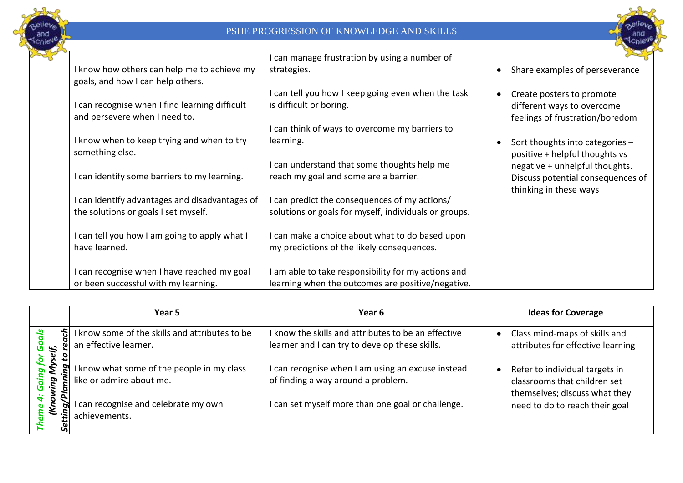



|                                                                                      | I can manage frustration by using a number of                                                                                 |                                                                                               |
|--------------------------------------------------------------------------------------|-------------------------------------------------------------------------------------------------------------------------------|-----------------------------------------------------------------------------------------------|
| I know how others can help me to achieve my<br>goals, and how I can help others.     | strategies.                                                                                                                   | Share examples of perseverance                                                                |
| can recognise when I find learning difficult<br>and persevere when I need to.        | I can tell you how I keep going even when the task<br>is difficult or boring.<br>can think of ways to overcome my barriers to | Create posters to promote<br>different ways to overcome<br>feelings of frustration/boredom    |
| I know when to keep trying and when to try<br>something else.                        | learning.                                                                                                                     | Sort thoughts into categories $-$<br>positive + helpful thoughts vs                           |
| can identify some barriers to my learning.                                           | I can understand that some thoughts help me<br>reach my goal and some are a barrier.                                          | negative + unhelpful thoughts.<br>Discuss potential consequences of<br>thinking in these ways |
| can identify advantages and disadvantages of<br>the solutions or goals I set myself. | I can predict the consequences of my actions/<br>solutions or goals for myself, individuals or groups.                        |                                                                                               |
| can tell you how I am going to apply what I<br>have learned.                         | I can make a choice about what to do based upon<br>my predictions of the likely consequences.                                 |                                                                                               |
| can recognise when I have reached my goal<br>or been successful with my learning.    | I am able to take responsibility for my actions and<br>learning when the outcomes are positive/negative.                      |                                                                                               |

|                           | Year 5                                                                  | Year 6                                                                                                | <b>Ideas for Coverage</b>                                                                       |
|---------------------------|-------------------------------------------------------------------------|-------------------------------------------------------------------------------------------------------|-------------------------------------------------------------------------------------------------|
| ach                       | I know some of the skills and attributes to be<br>an effective learner. | I know the skills and attributes to be an effective<br>learner and I can try to develop these skills. | Class mind-maps of skills and<br>attributes for effective learning                              |
| Myself,<br>pи<br>ξ<br>ing | know what some of the people in my class<br>like or admire about me.    | I can recognise when I am using an excuse instead<br>of finding a way around a problem.               | Refer to individual targets in<br>classrooms that children set<br>themselves; discuss what they |
| (Kno<br>ă<br>G)           | can recognise and celebrate my own<br>achievements.                     | I can set myself more than one goal or challenge.                                                     | need to do to reach their goal                                                                  |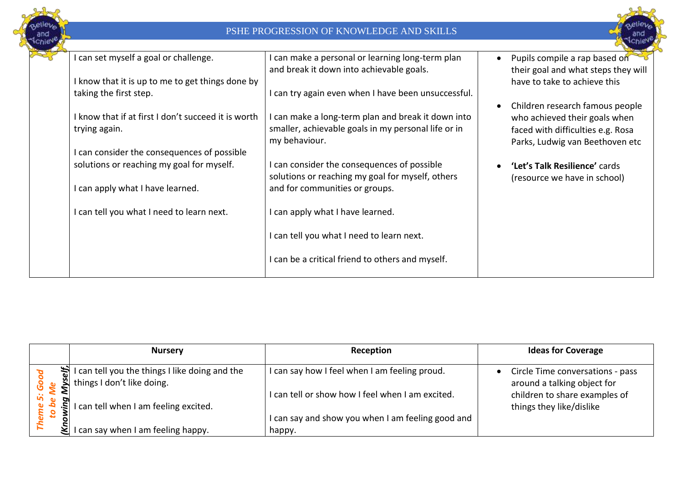



| I can set myself a goal or challenge.                                | I can make a personal or learning long-term plan<br>and break it down into achievable goals.                               | Pupils compile a rap based on<br>their goal and what steps they will                                                                     |
|----------------------------------------------------------------------|----------------------------------------------------------------------------------------------------------------------------|------------------------------------------------------------------------------------------------------------------------------------------|
| I know that it is up to me to get things done by                     |                                                                                                                            | have to take to achieve this                                                                                                             |
| taking the first step.                                               | I can try again even when I have been unsuccessful.                                                                        |                                                                                                                                          |
| I know that if at first I don't succeed it is worth<br>trying again. | I can make a long-term plan and break it down into<br>smaller, achievable goals in my personal life or in<br>my behaviour. | Children research famous people<br>who achieved their goals when<br>faced with difficulties e.g. Rosa<br>Parks, Ludwig van Beethoven etc |
| I can consider the consequences of possible                          |                                                                                                                            |                                                                                                                                          |
| solutions or reaching my goal for myself.                            | I can consider the consequences of possible<br>solutions or reaching my goal for myself, others                            | 'Let's Talk Resilience' cards<br>(resource we have in school)                                                                            |
| can apply what I have learned.                                       | and for communities or groups.                                                                                             |                                                                                                                                          |
| can tell you what I need to learn next.                              | I can apply what I have learned.                                                                                           |                                                                                                                                          |
|                                                                      | I can tell you what I need to learn next.                                                                                  |                                                                                                                                          |
|                                                                      | I can be a critical friend to others and myself.                                                                           |                                                                                                                                          |
|                                                                      |                                                                                                                            |                                                                                                                                          |

|    | <b>Nursery</b>                                                                                              | Reception                                                   | <b>Ideas for Coverage</b>                                       |
|----|-------------------------------------------------------------------------------------------------------------|-------------------------------------------------------------|-----------------------------------------------------------------|
|    | I can tell you the things I<br>things I don't like doing.<br>I can tell you the things I like doing and the | I can say how I feel when I am feeling proud.               | Circle Time conversations - pass<br>around a talking object for |
|    | I can tell when I am feeling excited.                                                                       | I can tell or show how I feel when I am excited.            | children to share examples of<br>things they like/dislike       |
| Ş٤ | can say when I am feeling happy.                                                                            | I can say and show you when I am feeling good and<br>happy. |                                                                 |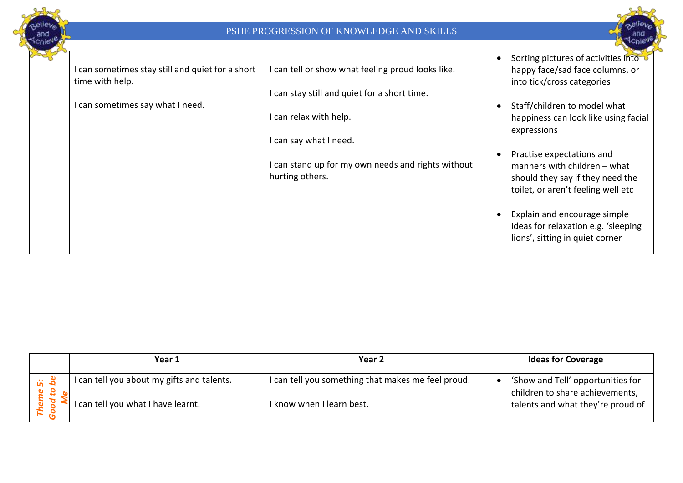



| I can sometimes stay still and quiet for a short<br>time with help. | I can tell or show what feeling proud looks like.                     | Sorting pictures of activities into<br>happy face/sad face columns, or<br>into tick/cross categories                                |
|---------------------------------------------------------------------|-----------------------------------------------------------------------|-------------------------------------------------------------------------------------------------------------------------------------|
|                                                                     | I can stay still and quiet for a short time.                          |                                                                                                                                     |
| I can sometimes say what I need.                                    |                                                                       | Staff/children to model what                                                                                                        |
|                                                                     | I can relax with help.                                                | happiness can look like using facial<br>expressions                                                                                 |
|                                                                     | I can say what I need.                                                |                                                                                                                                     |
|                                                                     | I can stand up for my own needs and rights without<br>hurting others. | Practise expectations and<br>manners with children - what<br>should they say if they need the<br>toilet, or aren't feeling well etc |
|                                                                     |                                                                       | Explain and encourage simple<br>ideas for relaxation e.g. 'sleeping<br>lions', sitting in quiet corner                              |

|              | Year 1                                                                         | Year 2                                                                          | <b>Ideas for Coverage</b>                                                                                 |
|--------------|--------------------------------------------------------------------------------|---------------------------------------------------------------------------------|-----------------------------------------------------------------------------------------------------------|
| <u>is de</u> | can tell you about my gifts and talents.<br>I can tell you what I have learnt. | I can tell you something that makes me feel proud.<br>I know when I learn best. | 'Show and Tell' opportunities for<br>children to share achievements,<br>talents and what they're proud of |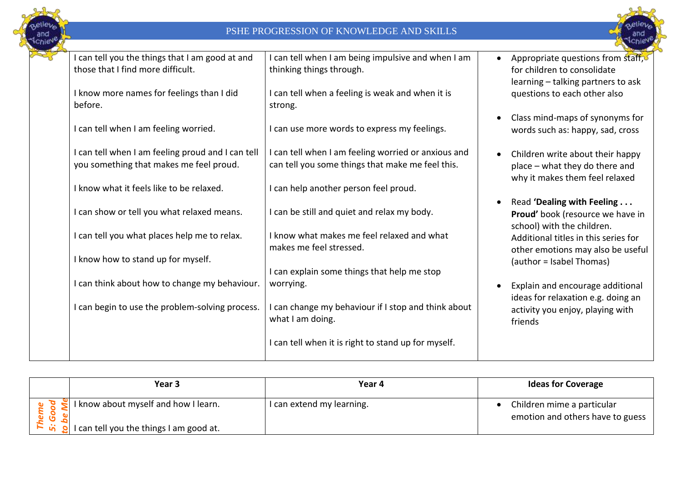



| I can tell you the things that I am good at and   | I can tell when I am being impulsive and when I am  | Appropriate questions from staff,    |
|---------------------------------------------------|-----------------------------------------------------|--------------------------------------|
| those that I find more difficult.                 | thinking things through.                            | for children to consolidate          |
|                                                   |                                                     | learning - talking partners to ask   |
| I know more names for feelings than I did         | I can tell when a feeling is weak and when it is    | questions to each other also         |
| before.                                           | strong.                                             |                                      |
|                                                   |                                                     | Class mind-maps of synonyms for      |
| I can tell when I am feeling worried.             | I can use more words to express my feelings.        | words such as: happy, sad, cross     |
|                                                   |                                                     |                                      |
| I can tell when I am feeling proud and I can tell | I can tell when I am feeling worried or anxious and | Children write about their happy     |
| you something that makes me feel proud.           | can tell you some things that make me feel this.    | place - what they do there and       |
| I know what it feels like to be relaxed.          | I can help another person feel proud.               | why it makes them feel relaxed       |
|                                                   |                                                     | Read 'Dealing with Feeling           |
| I can show or tell you what relaxed means.        | I can be still and quiet and relax my body.         | Proud' book (resource we have in     |
|                                                   |                                                     | school) with the children.           |
| I can tell you what places help me to relax.      | I know what makes me feel relaxed and what          | Additional titles in this series for |
|                                                   | makes me feel stressed.                             | other emotions may also be useful    |
| I know how to stand up for myself.                |                                                     | (author = Isabel Thomas)             |
|                                                   | I can explain some things that help me stop         |                                      |
| I can think about how to change my behaviour.     | worrying.                                           | Explain and encourage additional     |
|                                                   |                                                     | ideas for relaxation e.g. doing an   |
| I can begin to use the problem-solving process.   | I can change my behaviour if I stop and think about | activity you enjoy, playing with     |
|                                                   | what I am doing.                                    | friends                              |
|                                                   | I can tell when it is right to stand up for myself. |                                      |
|                                                   |                                                     |                                      |
|                                                   |                                                     |                                      |

| Year 3                                                                                                   | Year 4                    | <b>Ideas for Coverage</b>                                      |
|----------------------------------------------------------------------------------------------------------|---------------------------|----------------------------------------------------------------|
| $\le$ I know about myself and how I learn.                                                               | I can extend my learning. | Children mime a particular<br>emotion and others have to guess |
| $\begin{bmatrix} 1 & \mathbf{a} \\ 0 & \mathbf{b} \end{bmatrix}$ I can tell you the things I am good at. |                           |                                                                |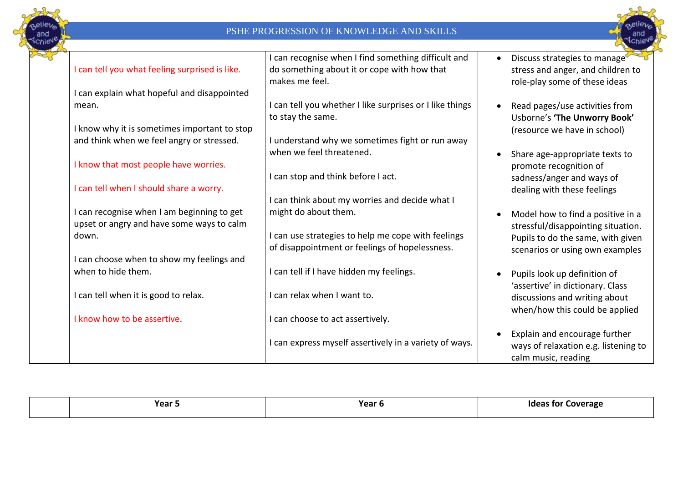



|                                                | can recognise when I find something difficult and      | Discuss strategies to manage         |
|------------------------------------------------|--------------------------------------------------------|--------------------------------------|
| I can tell you what feeling surprised is like. | do something about it or cope with how that            | stress and anger, and children to    |
|                                                | makes me feel.                                         | role-play some of these ideas        |
| I can explain what hopeful and disappointed    |                                                        |                                      |
| mean.                                          | can tell you whether I like surprises or I like things | Read pages/use activities from       |
|                                                | to stay the same.                                      | Usborne's 'The Unworry Book'         |
| I know why it is sometimes important to stop   |                                                        | (resource we have in school)         |
| and think when we feel angry or stressed.      | I understand why we sometimes fight or run away        |                                      |
|                                                | when we feel threatened.                               | Share age-appropriate texts to       |
| I know that most people have worries.          |                                                        | promote recognition of               |
|                                                | I can stop and think before I act.                     | sadness/anger and ways of            |
| I can tell when I should share a worry.        |                                                        | dealing with these feelings          |
|                                                | can think about my worries and decide what I           |                                      |
| I can recognise when I am beginning to get     | might do about them.                                   | Model how to find a positive in a    |
| upset or angry and have some ways to calm      |                                                        | stressful/disappointing situation.   |
| down.                                          | can use strategies to help me cope with feelings       | Pupils to do the same, with given    |
|                                                | of disappointment or feelings of hopelessness.         | scenarios or using own examples      |
| I can choose when to show my feelings and      |                                                        |                                      |
| when to hide them.                             | I can tell if I have hidden my feelings.               | Pupils look up definition of         |
|                                                |                                                        | 'assertive' in dictionary. Class     |
| I can tell when it is good to relax.           | I can relax when I want to.                            | discussions and writing about        |
|                                                |                                                        | when/how this could be applied       |
| I know how to be assertive.                    | I can choose to act assertively.                       |                                      |
|                                                |                                                        | Explain and encourage further        |
|                                                | can express myself assertively in a variety of ways.   | ways of relaxation e.g. listening to |
|                                                |                                                        | calm music, reading                  |

|  | Voor<br>.cai J | Year 6 | Ideas for<br>Coverage |
|--|----------------|--------|-----------------------|
|--|----------------|--------|-----------------------|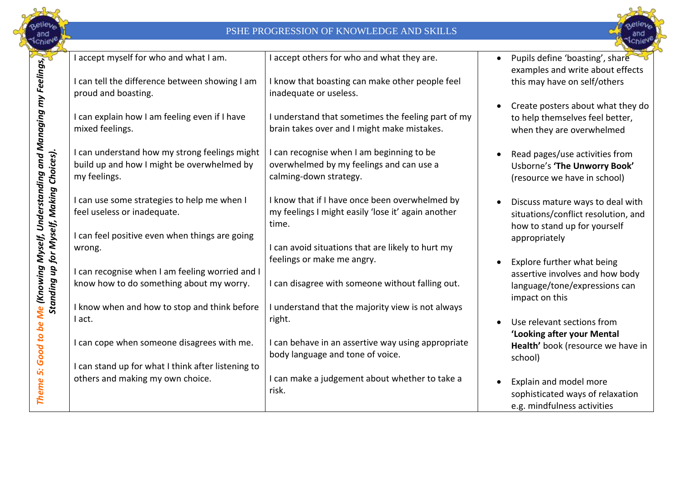



|                                                             | I accept myself for who and what I am.<br>I can tell the difference between showing I am<br>proud and boasting. | I accept others for who and what they are.<br>I know that boasting can make other people feel<br>inadequate or useless. | Pupils define 'boasting', share<br>examples and write about effects<br>this may have on self/others              |
|-------------------------------------------------------------|-----------------------------------------------------------------------------------------------------------------|-------------------------------------------------------------------------------------------------------------------------|------------------------------------------------------------------------------------------------------------------|
|                                                             | I can explain how I am feeling even if I have<br>mixed feelings.                                                | I understand that sometimes the feeling part of my<br>brain takes over and I might make mistakes.                       | Create posters about what they do<br>to help themselves feel better,<br>when they are overwhelmed                |
| Me (Knowing Myself, Understanding and Managing my Feelings, | I can understand how my strong feelings might<br>build up and how I might be overwhelmed by<br>my feelings.     | I can recognise when I am beginning to be<br>overwhelmed by my feelings and can use a<br>calming-down strategy.         | Read pages/use activities from<br>Usborne's 'The Unworry Book'<br>(resource we have in school)                   |
| Standing up for Myself, Making Choices).                    | I can use some strategies to help me when I<br>feel useless or inadequate.                                      | I know that if I have once been overwhelmed by<br>my feelings I might easily 'lose it' again another<br>time.           | Discuss mature ways to deal with<br>situations/conflict resolution, and<br>how to stand up for yourself          |
|                                                             | I can feel positive even when things are going<br>wrong.                                                        | I can avoid situations that are likely to hurt my<br>feelings or make me angry.                                         | appropriately                                                                                                    |
|                                                             | I can recognise when I am feeling worried and I<br>know how to do something about my worry.                     | I can disagree with someone without falling out.                                                                        | Explore further what being<br>assertive involves and how body<br>language/tone/expressions can<br>impact on this |
|                                                             | I know when and how to stop and think before<br>I act.                                                          | I understand that the majority view is not always<br>right.                                                             | Use relevant sections from<br>'Looking after your Mental                                                         |
|                                                             | I can cope when someone disagrees with me.                                                                      | can behave in an assertive way using appropriate<br>body language and tone of voice.                                    | Health' book (resource we have in<br>school)                                                                     |
| Theme 5: Good to be                                         | I can stand up for what I think after listening to<br>others and making my own choice.                          | can make a judgement about whether to take a<br>risk.                                                                   | Explain and model more<br>sophisticated ways of relaxation<br>e.g. mindfulness activities                        |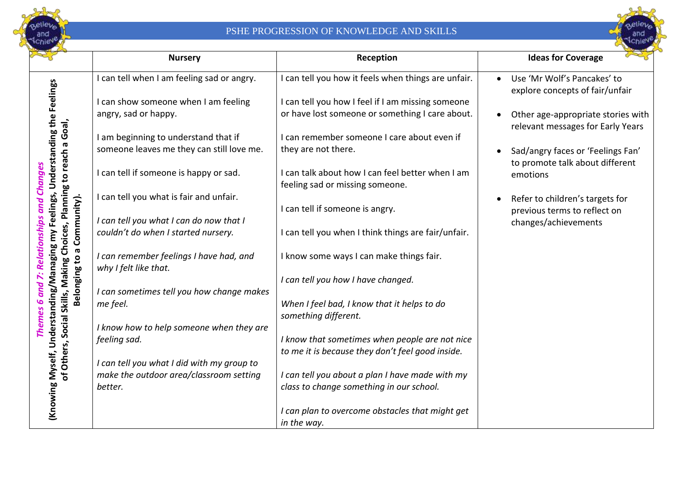



|                                                                                                                                                                                               | <b>Nursery</b>                                                   | Reception                                                                           | <b>Ideas for Coverage</b>                                                    |
|-----------------------------------------------------------------------------------------------------------------------------------------------------------------------------------------------|------------------------------------------------------------------|-------------------------------------------------------------------------------------|------------------------------------------------------------------------------|
|                                                                                                                                                                                               | I can tell when I am feeling sad or angry.                       | I can tell you how it feels when things are unfair.                                 | Use 'Mr Wolf's Pancakes' to<br>explore concepts of fair/unfair               |
|                                                                                                                                                                                               | I can show someone when I am feeling                             | I can tell you how I feel if I am missing someone                                   |                                                                              |
|                                                                                                                                                                                               | angry, sad or happy.                                             | or have lost someone or something I care about.                                     | Other age-appropriate stories with<br>relevant messages for Early Years      |
|                                                                                                                                                                                               | I am beginning to understand that if                             | I can remember someone I care about even if                                         |                                                                              |
|                                                                                                                                                                                               | someone leaves me they can still love me.                        | they are not there.                                                                 | Sad/angry faces or 'Feelings Fan'<br>to promote talk about different         |
| <b>Change</b>                                                                                                                                                                                 | I can tell if someone is happy or sad.                           | I can talk about how I can feel better when I am<br>feeling sad or missing someone. | emotions                                                                     |
| Community).<br>and                                                                                                                                                                            | can tell you what is fair and unfair.                            | I can tell if someone is angry.                                                     | Refer to children's targets for<br>$\bullet$<br>previous terms to reflect on |
|                                                                                                                                                                                               | I can tell you what I can do now that I                          |                                                                                     | changes/achievements                                                         |
|                                                                                                                                                                                               | couldn't do when I started nursery.                              | I can tell you when I think things are fair/unfair.                                 |                                                                              |
| (Knowing Myself, Understanding/Managing my Feelings, Understanding the Feelings<br>of Others, Social Skills, Making Choices, Planning to reach a Goal,<br>Relationship<br>G<br>$\overline{c}$ | I can remember feelings I have had, and<br>why I felt like that. | I know some ways I can make things fair.                                            |                                                                              |
| Belonging                                                                                                                                                                                     |                                                                  | I can tell you how I have changed.                                                  |                                                                              |
| and                                                                                                                                                                                           | I can sometimes tell you how change makes                        |                                                                                     |                                                                              |
|                                                                                                                                                                                               | me feel.                                                         | When I feel bad, I know that it helps to do<br>something different.                 |                                                                              |
| Theme                                                                                                                                                                                         | I know how to help someone when they are                         |                                                                                     |                                                                              |
|                                                                                                                                                                                               | feeling sad.                                                     | I know that sometimes when people are not nice                                      |                                                                              |
|                                                                                                                                                                                               |                                                                  | to me it is because they don't feel good inside.                                    |                                                                              |
|                                                                                                                                                                                               | I can tell you what I did with my group to                       |                                                                                     |                                                                              |
|                                                                                                                                                                                               | make the outdoor area/classroom setting                          | I can tell you about a plan I have made with my                                     |                                                                              |
|                                                                                                                                                                                               | better.                                                          | class to change something in our school.                                            |                                                                              |
|                                                                                                                                                                                               |                                                                  | I can plan to overcome obstacles that might get                                     |                                                                              |
|                                                                                                                                                                                               |                                                                  | in the way.                                                                         |                                                                              |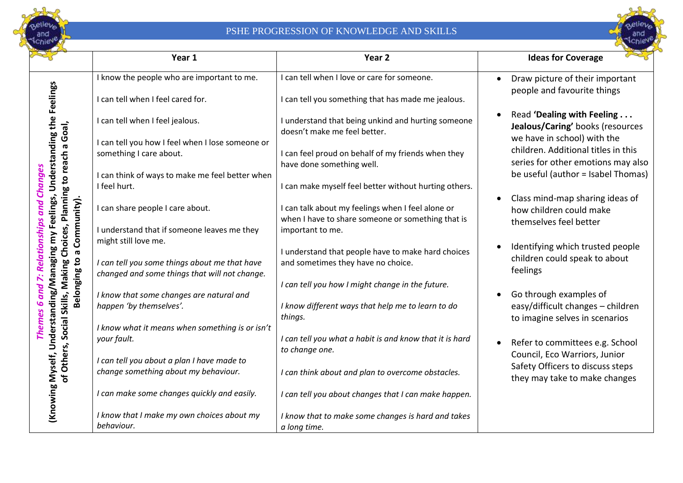



|                                                                                                                                                                                        | Year 1                                                                                                                 | Year <sub>2</sub>                                                                                      | <b>Ideas for Coverage</b>                                                                         |
|----------------------------------------------------------------------------------------------------------------------------------------------------------------------------------------|------------------------------------------------------------------------------------------------------------------------|--------------------------------------------------------------------------------------------------------|---------------------------------------------------------------------------------------------------|
|                                                                                                                                                                                        | I know the people who are important to me.                                                                             | I can tell when I love or care for someone.                                                            | Draw picture of their important<br>$\bullet$                                                      |
| Feelings                                                                                                                                                                               | I can tell when I feel cared for.                                                                                      | I can tell you something that has made me jealous.                                                     | people and favourite things                                                                       |
|                                                                                                                                                                                        | I can tell when I feel jealous.                                                                                        | I understand that being unkind and hurting someone<br>doesn't make me feel better.                     | Read 'Dealing with Feeling<br>$\bullet$<br>Jealous/Caring' books (resources                       |
|                                                                                                                                                                                        | I can tell you how I feel when I lose someone or                                                                       |                                                                                                        | we have in school) with the                                                                       |
|                                                                                                                                                                                        | something I care about.                                                                                                | can feel proud on behalf of my friends when they<br>have done something well.                          | children. Additional titles in this<br>series for other emotions may also                         |
| <b>Changes</b>                                                                                                                                                                         | I can think of ways to make me feel better when                                                                        |                                                                                                        | be useful (author = Isabel Thomas)                                                                |
|                                                                                                                                                                                        | I feel hurt.                                                                                                           | I can make myself feel better without hurting others.                                                  |                                                                                                   |
|                                                                                                                                                                                        | I can share people I care about.                                                                                       | I can talk about my feelings when I feel alone or<br>when I have to share someone or something that is | Class mind-map sharing ideas of<br>$\bullet$<br>how children could make<br>themselves feel better |
|                                                                                                                                                                                        | I understand that if someone leaves me they                                                                            | important to me.                                                                                       |                                                                                                   |
| Understanding/Managing my Feelings, Understanding the<br>of Others, Social Skills, Making Choices, Planning to reach a Goal,<br>Belonging to a Community).<br><b>Relationships and</b> | might still love me.<br>I can tell you some things about me that have<br>changed and some things that will not change. | I understand that people have to make hard choices<br>and sometimes they have no choice.               | Identifying which trusted people<br>$\bullet$<br>children could speak to about<br>feelings        |
|                                                                                                                                                                                        |                                                                                                                        | I can tell you how I might change in the future.                                                       |                                                                                                   |
| and                                                                                                                                                                                    | I know that some changes are natural and                                                                               |                                                                                                        | Go through examples of                                                                            |
| Themes 6                                                                                                                                                                               | happen 'by themselves'.                                                                                                | I know different ways that help me to learn to do<br>things.                                           | easy/difficult changes - children<br>to imagine selves in scenarios                               |
|                                                                                                                                                                                        | I know what it means when something is or isn't                                                                        |                                                                                                        |                                                                                                   |
|                                                                                                                                                                                        | your fault.                                                                                                            | I can tell you what a habit is and know that it is hard<br>to change one.                              | Refer to committees e.g. School<br>$\bullet$                                                      |
|                                                                                                                                                                                        | I can tell you about a plan I have made to                                                                             |                                                                                                        | Council, Eco Warriors, Junior                                                                     |
|                                                                                                                                                                                        | change something about my behaviour.                                                                                   | I can think about and plan to overcome obstacles.                                                      | Safety Officers to discuss steps<br>they may take to make changes                                 |
| (Knowing Myself,                                                                                                                                                                       | I can make some changes quickly and easily.                                                                            | I can tell you about changes that I can make happen.                                                   |                                                                                                   |
|                                                                                                                                                                                        | I know that I make my own choices about my                                                                             | I know that to make some changes is hard and takes                                                     |                                                                                                   |
|                                                                                                                                                                                        | behaviour.                                                                                                             | a long time.                                                                                           |                                                                                                   |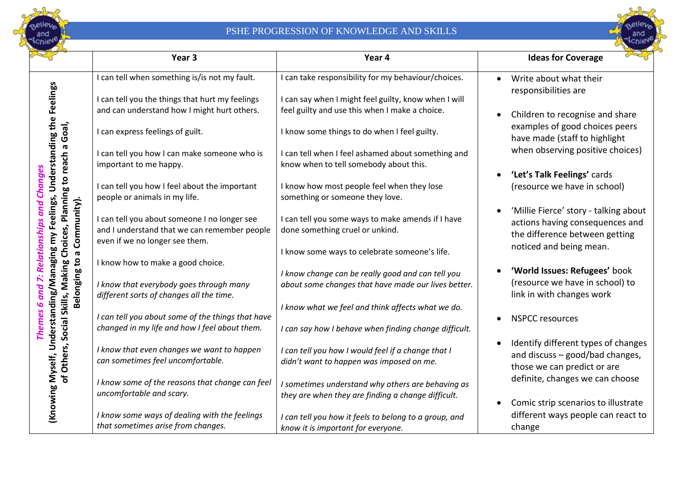



|                                                                                                                                                        | Year <sub>3</sub>                                 | Year 4                                                | <b>Ideas for Coverage</b>                                       |
|--------------------------------------------------------------------------------------------------------------------------------------------------------|---------------------------------------------------|-------------------------------------------------------|-----------------------------------------------------------------|
|                                                                                                                                                        | I can tell when something is/is not my fault.     | I can take responsibility for my behaviour/choices.   | Write about what their<br>responsibilities are                  |
|                                                                                                                                                        | I can tell you the things that hurt my feelings   | I can say when I might feel guilty, know when I will  |                                                                 |
|                                                                                                                                                        | and can understand how I might hurt others.       | feel guilty and use this when I make a choice.        | Children to recognise and share                                 |
| (Knowing Myself, Understanding/Managing my Feelings, Understanding the Feelings<br>of Others, Social Skills, Making Choices, Planning to reach a Goal, | I can express feelings of guilt.                  | I know some things to do when I feel guilty.          | examples of good choices peers<br>have made (staff to highlight |
|                                                                                                                                                        | I can tell you how I can make someone who is      | I can tell when I feel ashamed about something and    | when observing positive choices)                                |
|                                                                                                                                                        | important to me happy.                            | know when to tell somebody about this.                |                                                                 |
|                                                                                                                                                        |                                                   |                                                       | 'Let's Talk Feelings' cards                                     |
|                                                                                                                                                        | I can tell you how I feel about the important     | I know how most people feel when they lose            | (resource we have in school)                                    |
|                                                                                                                                                        | people or animals in my life.                     | something or someone they love.                       |                                                                 |
| Community).                                                                                                                                            | I can tell you about someone I no longer see      | I can tell you some ways to make amends if I have     | 'Millie Fierce' story - talking about                           |
|                                                                                                                                                        | and I understand that we can remember people      | done something cruel or unkind.                       | actions having consequences and                                 |
|                                                                                                                                                        | even if we no longer see them.                    |                                                       | the difference between getting                                  |
| ā                                                                                                                                                      |                                                   | I know some ways to celebrate someone's life.         | noticed and being mean.                                         |
|                                                                                                                                                        | I know how to make a good choice.                 |                                                       |                                                                 |
|                                                                                                                                                        |                                                   | I know change can be really good and can tell you     | 'World Issues: Refugees' book                                   |
| Belonging to                                                                                                                                           | I know that everybody goes through many           | about some changes that have made our lives better.   | (resource we have in school) to                                 |
|                                                                                                                                                        | different sorts of changes all the time.          |                                                       | link in with changes work                                       |
|                                                                                                                                                        |                                                   | I know what we feel and think affects what we do.     |                                                                 |
|                                                                                                                                                        | I can tell you about some of the things that have |                                                       | <b>NSPCC resources</b>                                          |
|                                                                                                                                                        | changed in my life and how I feel about them.     | I can say how I behave when finding change difficult. |                                                                 |
|                                                                                                                                                        | I know that even changes we want to happen        | I can tell you how I would feel if a change that I    | Identify different types of changes                             |
|                                                                                                                                                        | can sometimes feel uncomfortable.                 | didn't want to happen was imposed on me.              | and discuss - good/bad changes,                                 |
|                                                                                                                                                        |                                                   |                                                       | those we can predict or are                                     |
|                                                                                                                                                        | I know some of the reasons that change can feel   | I sometimes understand why others are behaving as     | definite, changes we can choose                                 |
|                                                                                                                                                        | uncomfortable and scary.                          | they are when they are finding a change difficult.    |                                                                 |
|                                                                                                                                                        |                                                   |                                                       | Comic strip scenarios to illustrate                             |
|                                                                                                                                                        | I know some ways of dealing with the feelings     | I can tell you how it feels to belong to a group, and | different ways people can react to                              |
|                                                                                                                                                        | that sometimes arise from changes.                | know it is important for everyone.                    | change                                                          |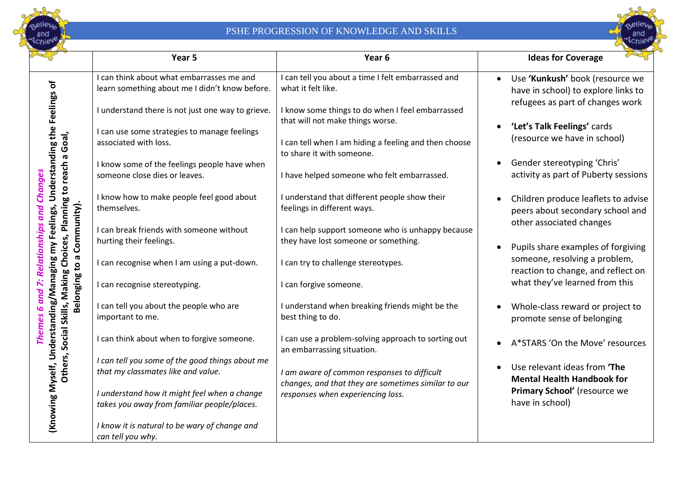



|                                                                              | Year 5                                                                                                                                                                     | Year <sub>6</sub>                                                                                                                                                          | <b>Ideas for Coverage</b>                                                                                                      |
|------------------------------------------------------------------------------|----------------------------------------------------------------------------------------------------------------------------------------------------------------------------|----------------------------------------------------------------------------------------------------------------------------------------------------------------------------|--------------------------------------------------------------------------------------------------------------------------------|
|                                                                              | I can think about what embarrasses me and<br>learn something about me I didn't know before.                                                                                | I can tell you about a time I felt embarrassed and<br>what it felt like.                                                                                                   | Use 'Kunkush' book (resource we<br>$\bullet$<br>have in school) to explore links to                                            |
| Understanding/Managing my Feelings, Understanding the Feelings of<br>a Goal, | I understand there is not just one way to grieve.<br>I can use some strategies to manage feelings<br>associated with loss.<br>I know some of the feelings people have when | I know some things to do when I feel embarrassed<br>that will not make things worse.<br>I can tell when I am hiding a feeling and then choose<br>to share it with someone. | refugees as part of changes work<br>'Let's Talk Feelings' cards<br>(resource we have in school)<br>Gender stereotyping 'Chris' |
|                                                                              | someone close dies or leaves.                                                                                                                                              | I have helped someone who felt embarrassed.                                                                                                                                | activity as part of Puberty sessions                                                                                           |
| Others, Social Skills, Making Choices, Planning to reach<br><b>Changes</b>   | I know how to make people feel good about<br>themselves.                                                                                                                   | I understand that different people show their<br>feelings in different ways.                                                                                               | Children produce leaflets to advise<br>peers about secondary school and                                                        |
| Belonging to a Community).<br><b>Relationships and</b>                       | I can break friends with someone without<br>hurting their feelings.                                                                                                        | I can help support someone who is unhappy because<br>they have lost someone or something.                                                                                  | other associated changes<br>Pupils share examples of forgiving                                                                 |
|                                                                              | I can recognise when I am using a put-down.                                                                                                                                | I can try to challenge stereotypes.                                                                                                                                        | someone, resolving a problem,<br>reaction to change, and reflect on                                                            |
| $\ddot{\sim}$                                                                | I can recognise stereotyping.                                                                                                                                              | I can forgive someone.                                                                                                                                                     | what they've learned from this                                                                                                 |
| Themes 6 and                                                                 | I can tell you about the people who are<br>important to me.                                                                                                                | I understand when breaking friends might be the<br>best thing to do.                                                                                                       | Whole-class reward or project to<br>promote sense of belonging                                                                 |
|                                                                              | I can think about when to forgive someone.                                                                                                                                 | I can use a problem-solving approach to sorting out<br>an embarrassing situation.                                                                                          | A*STARS 'On the Move' resources                                                                                                |
|                                                                              | I can tell you some of the good things about me<br>that my classmates like and value.                                                                                      | I am aware of common responses to difficult<br>changes, and that they are sometimes similar to our                                                                         | Use relevant ideas from 'The<br><b>Mental Health Handbook for</b>                                                              |
| (Knowing Myself,                                                             | I understand how it might feel when a change<br>takes you away from familiar people/places.                                                                                | responses when experiencing loss.                                                                                                                                          | Primary School' (resource we<br>have in school)                                                                                |
|                                                                              | I know it is natural to be wary of change and<br>can tell you why.                                                                                                         |                                                                                                                                                                            |                                                                                                                                |